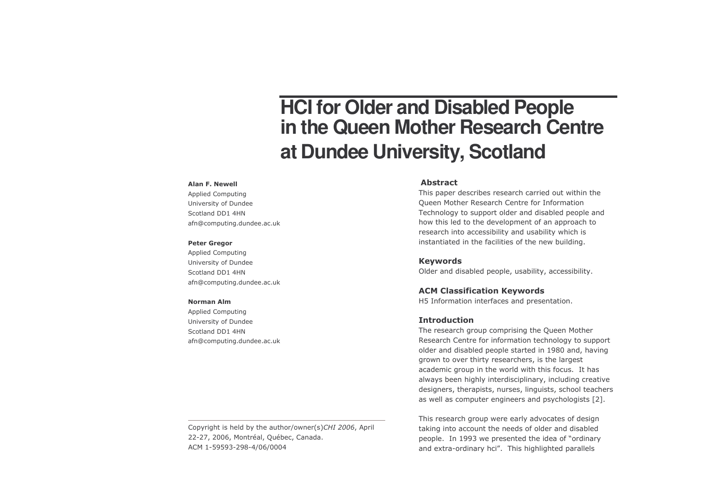# **HCI for Older and Disabled People in the Queen Mother Research Centre at Dundee University, Scotland**

#### Alan F. Newell

Applied Computing University of Dundee Scotland DD1 4HN afn@computing.dundee.ac.uk

#### Peter Gregor

Applied Computing University of Dundee Scotland DD1 4HN afn@computing.dundee.ac.uk

#### **Norman Alm**

Applied Computing University of Dundee Scotland DD1 4HN afn@computing.dundee.ac.uk

#### Abstract

This paper describes research carried out within the Queen Mother Research Centre for Information Technology to support older and disabled people and how this led to the development of an approach to research into accessibility and usability which is instantiated in the facilities of the new building.

## Keywords

Older and disabled people, usability, accessibility.

# ACM Classification Keywords

H5 Information interfaces and presentation.

## **Introduction**

The research group comprising the Queen Mother Research Centre for information technology to support older and disabled people started in 1980 and, having grown to over thirty researchers, is the largest academic group in the world with this focus. It has always been highly interdisciplinary, including creative designers, therapists, nurses, linguists, school teachers as well as computer engineers and psychologists [2].

This research group were early advocates of design taking into account the needs of older and disabled people. In 1993 we presented the idea of "ordinary and extra-ordinary hci". This highlighted parallels

Copyright is held by the author/owner(s)CHI 2006, April 22-27, 2006, Montréal, Québec, Canada. 2 06/0004 "ACM 1-59593-298-4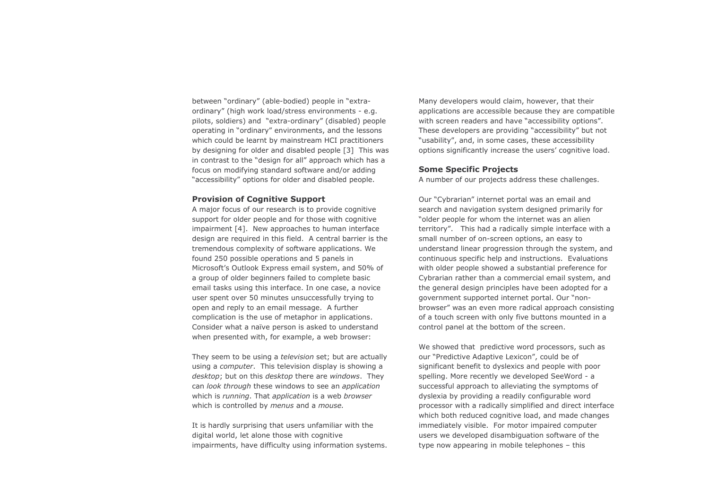between "ordinary" (able-bodied) people in "extraordinary" (high work load/stress environments - e.g. pilots, soldiers) and "extra-ordinary" (disabled) people operating in "ordinary" environments, and the lessons which could be learnt by mainstream HCI practitioners by designing for older and disabled people [3] This was in contrast to the "design for all" approach which has a focus on modifying standard software and/or adding "accessibility" options for older and disabled people.

## **Provision of Cognitive Support**

A major focus of our research is to provide cognitive support for older people and for those with cognitive impairment [4]. New approaches to human interface design are required in this field. A central barrier is the tremendous complexity of software applications. We found 250 possible operations and 5 panels in Microsoft's Outlook Express email system, and 50% of a group of older beginners failed to complete basic email tasks using this interface. In one case, a novice user spent over 50 minutes unsuccessfully trying to open and reply to an email message. A further complication is the use of metaphor in applications. Consider what a naïve person is asked to understand when presented with, for example, a web browser:

They seem to be using a television set; but are actually using a computer. This television display is showing a desktop; but on this desktop there are windows. They can look through these windows to see an application which is running. That application is a web browser which is controlled by menus and a mouse.

It is hardly surprising that users unfamiliar with the digital world, let alone those with cognitive impairments, have difficulty using information systems. Many developers would claim, however, that their applications are accessible because they are compatible with screen readers and have "accessibility options". These developers are providing "accessibility" but not "usability", and, in some cases, these accessibility options significantly increase the users' cognitive load.

## **Some Specific Projects**

A number of our projects address these challenges.

Our "Cybrarian" internet portal was an email and search and navigation system designed primarily for "older people for whom the internet was an alien territory". This had a radically simple interface with a small number of on-screen options, an easy to understand linear progression through the system, and continuous specific help and instructions. Evaluations with older people showed a substantial preference for Cybrarian rather than a commercial email system, and the general design principles have been adopted for a government supported internet portal. Our "nonbrowser" was an even more radical approach consisting of a touch screen with only five buttons mounted in a control panel at the bottom of the screen.

We showed that predictive word processors, such as our "Predictive Adaptive Lexicon", could be of significant benefit to dyslexics and people with poor spelling. More recently we developed SeeWord - a successful approach to alleviating the symptoms of dyslexia by providing a readily configurable word processor with a radically simplified and direct interface which both reduced cognitive load, and made changes immediately visible. For motor impaired computer users we developed disambiguation software of the type now appearing in mobile telephones - this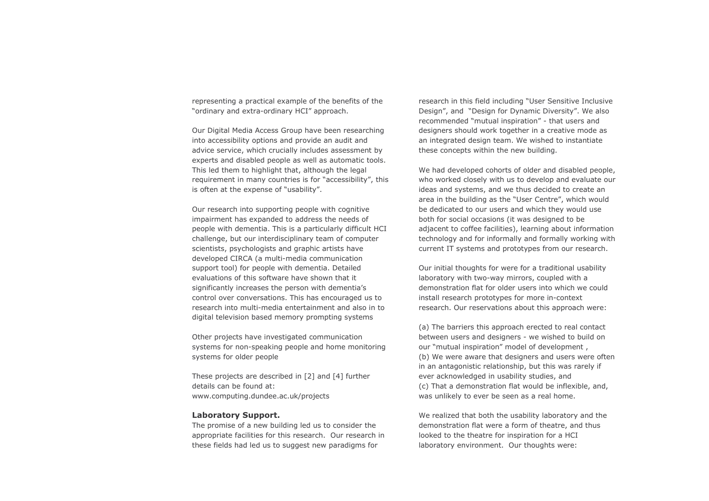representing a practical example of the benefits of the "ordinary and extra-ordinary HCI" approach.

Our Digital Media Access Group have been researching into accessibility options and provide an audit and advice service, which crucially includes assessment by experts and disabled people as well as automatic tools. This led them to highlight that, although the legal requirement in many countries is for "accessibility", this is often at the expense of "usability".

Our research into supporting people with cognitive impairment has expanded to address the needs of people with dementia. This is a particularly difficult HCI challenge, but our interdisciplinary team of computer scientists, psychologists and graphic artists have developed CIRCA (a multi-media communication support tool) for people with dementia. Detailed evaluations of this software have shown that it significantly increases the person with dementia's control over conversations. This has encouraged us to research into multi-media entertainment and also in to digital television based memory prompting systems

Other projects have investigated communication systems for non-speaking people and home monitoring systems for older people

These projects are described in [2] and [4] further details can be found at: www.computing.dundee.ac.uk/projects

## **Laboratory Support.**

The promise of a new building led us to consider the appropriate facilities for this research. Our research in these fields had led us to suggest new paradigms for

research in this field including "User Sensitive Inclusive Design", and "Design for Dynamic Diversity". We also recommended "mutual inspiration" - that users and designers should work together in a creative mode as an integrated design team. We wished to instantiate these concepts within the new building.

We had developed cohorts of older and disabled people. who worked closely with us to develop and evaluate our ideas and systems, and we thus decided to create an area in the building as the "User Centre", which would be dedicated to our users and which they would use both for social occasions (it was designed to be adjacent to coffee facilities), learning about information technology and for informally and formally working with current IT systems and prototypes from our research.

Our initial thoughts for were for a traditional usability laboratory with two-way mirrors, coupled with a demonstration flat for older users into which we could install research prototypes for more in-context research. Our reservations about this approach were:

(a) The barriers this approach erected to real contact between users and designers - we wished to build on our "mutual inspiration" model of development, (b) We were aware that designers and users were often in an antagonistic relationship, but this was rarely if ever acknowledged in usability studies, and (c) That a demonstration flat would be inflexible, and, was unlikely to ever be seen as a real home.

We realized that both the usability laboratory and the demonstration flat were a form of theatre, and thus looked to the theatre for inspiration for a HCI laboratory environment. Our thoughts were: